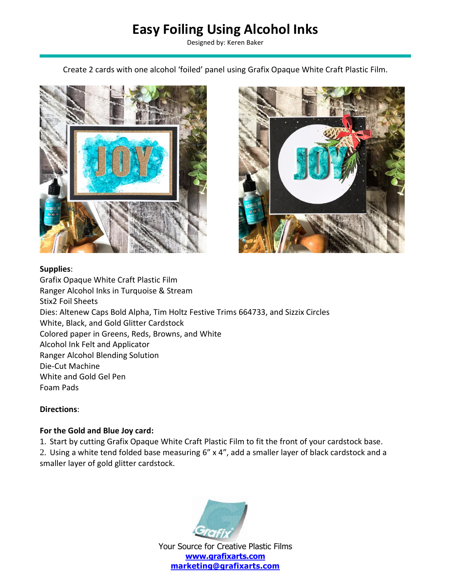# **Easy Foiling Using Alcohol Inks**

Designed by: Keren Baker

Create 2 cards with one alcohol 'foiled' panel using Grafix Opaque White Craft Plastic Film.





#### **Supplies**:

Grafix Opaque White Craft Plastic Film Ranger Alcohol Inks in Turquoise & Stream Stix2 Foil Sheets Dies: Altenew Caps Bold Alpha, Tim Holtz Festive Trims 664733, and Sizzix Circles White, Black, and Gold Glitter Cardstock Colored paper in Greens, Reds, Browns, and White Alcohol Ink Felt and Applicator Ranger Alcohol Blending Solution Die-Cut Machine White and Gold Gel Pen Foam Pads

#### **Directions**:

#### **For the Gold and Blue Joy card:**

1. Start by cutting Grafix Opaque White Craft Plastic Film to fit the front of your cardstock base.

2. Using a white tend folded base measuring 6" x 4", add a smaller layer of black cardstock and a smaller layer of gold glitter cardstock.



Your Source for Creative Plastic Films **[www.grafixarts.com](http://www.grafixarts.com/) [marketing@grafixarts.com](mailto:marketing@grafixarts.com)**